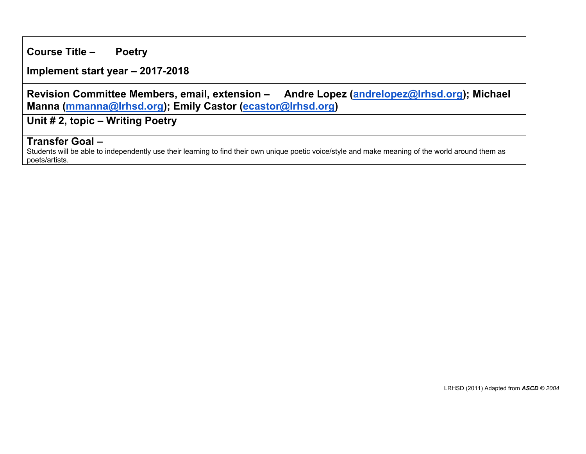**Course Title – Poetry**

**Implement start year – 2017-2018**

**Revision Committee Members, email, extension – Andre Lopez (andrelopez@lrhsd.org); Michael Manna (mmanna@lrhsd.org); Emily Castor (ecastor@lrhsd.org)** 

**Unit # 2, topic – Writing Poetry** 

## **Transfer Goal –**

Students will be able to independently use their learning to find their own unique poetic voice/style and make meaning of the world around them as poets/artists.

LRHSD (2011) Adapted from *ASCD © 2004*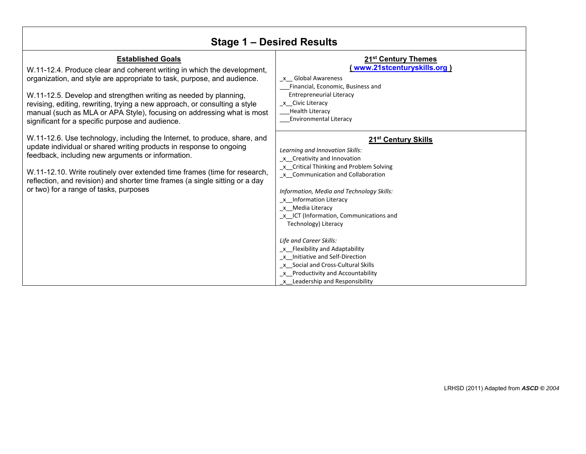| Stage 1 – Desired Results                                                                                                                                                                                                                                                                                                                                                                                                                                      |                                                                                                                                                                                                                                                                                                                                                                                                                                                                                                                                                                   |  |
|----------------------------------------------------------------------------------------------------------------------------------------------------------------------------------------------------------------------------------------------------------------------------------------------------------------------------------------------------------------------------------------------------------------------------------------------------------------|-------------------------------------------------------------------------------------------------------------------------------------------------------------------------------------------------------------------------------------------------------------------------------------------------------------------------------------------------------------------------------------------------------------------------------------------------------------------------------------------------------------------------------------------------------------------|--|
| <b>Established Goals</b><br>W.11-12.4. Produce clear and coherent writing in which the development,<br>organization, and style are appropriate to task, purpose, and audience.<br>W.11-12.5. Develop and strengthen writing as needed by planning,<br>revising, editing, rewriting, trying a new approach, or consulting a style<br>manual (such as MLA or APA Style), focusing on addressing what is most<br>significant for a specific purpose and audience. | 21 <sup>st</sup> Century Themes<br>(www.21stcenturyskills.org)<br>x Global Awareness<br>Financial, Economic, Business and<br><b>Entrepreneurial Literacy</b><br>x Civic Literacy<br><b>Health Literacy</b><br><b>Environmental Literacy</b>                                                                                                                                                                                                                                                                                                                       |  |
| W.11-12.6. Use technology, including the Internet, to produce, share, and<br>update individual or shared writing products in response to ongoing<br>feedback, including new arguments or information.<br>W.11-12.10. Write routinely over extended time frames (time for research,<br>reflection, and revision) and shorter time frames (a single sitting or a day<br>or two) for a range of tasks, purposes                                                   | 21 <sup>st</sup> Century Skills<br>Learning and Innovation Skills:<br>x Creativity and Innovation<br>x Critical Thinking and Problem Solving<br>_x _Communication and Collaboration<br>Information, Media and Technology Skills:<br>x Information Literacy<br>x Media Literacy<br>x ICT (Information, Communications and<br>Technology) Literacy<br>Life and Career Skills:<br>x Flexibility and Adaptability<br>_x__Initiative and Self-Direction<br>x Social and Cross-Cultural Skills<br>_x_Productivity and Accountability<br>x Leadership and Responsibility |  |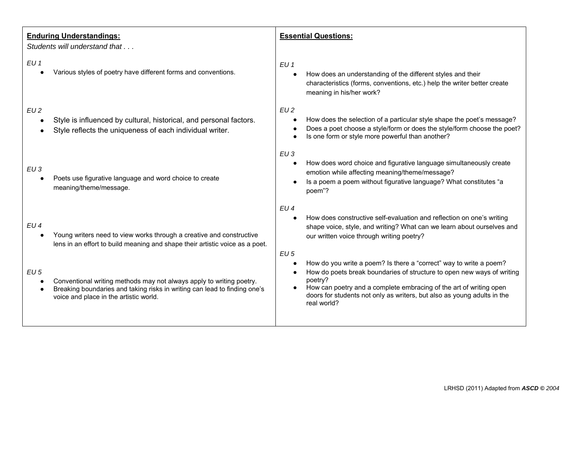| <b>Enduring Understandings:</b><br>Students will understand that                                                                                                                                      | <b>Essential Questions:</b>                                                                                                                                                                                                                                                                                             |
|-------------------------------------------------------------------------------------------------------------------------------------------------------------------------------------------------------|-------------------------------------------------------------------------------------------------------------------------------------------------------------------------------------------------------------------------------------------------------------------------------------------------------------------------|
| EU 1<br>Various styles of poetry have different forms and conventions.                                                                                                                                | EU <sub>1</sub><br>How does an understanding of the different styles and their<br>$\bullet$<br>characteristics (forms, conventions, etc.) help the writer better create<br>meaning in his/her work?                                                                                                                     |
| EU2<br>Style is influenced by cultural, historical, and personal factors.<br>Style reflects the uniqueness of each individual writer.                                                                 | EU2<br>How does the selection of a particular style shape the poet's message?<br>Does a poet choose a style/form or does the style/form choose the poet?<br>Is one form or style more powerful than another?                                                                                                            |
| EU3<br>Poets use figurative language and word choice to create<br>meaning/theme/message.                                                                                                              | EU3<br>How does word choice and figurative language simultaneously create<br>emotion while affecting meaning/theme/message?<br>Is a poem a poem without figurative language? What constitutes "a<br>poem"?                                                                                                              |
| EU4<br>Young writers need to view works through a creative and constructive<br>lens in an effort to build meaning and shape their artistic voice as a poet.                                           | EU4<br>How does constructive self-evaluation and reflection on one's writing<br>shape voice, style, and writing? What can we learn about ourselves and<br>our written voice through writing poetry?<br>$EU$ 5                                                                                                           |
| $EU$ 5<br>Conventional writing methods may not always apply to writing poetry.<br>Breaking boundaries and taking risks in writing can lead to finding one's<br>voice and place in the artistic world. | How do you write a poem? Is there a "correct" way to write a poem?<br>How do poets break boundaries of structure to open new ways of writing<br>poetry?<br>How can poetry and a complete embracing of the art of writing open<br>doors for students not only as writers, but also as young adults in the<br>real world? |
|                                                                                                                                                                                                       |                                                                                                                                                                                                                                                                                                                         |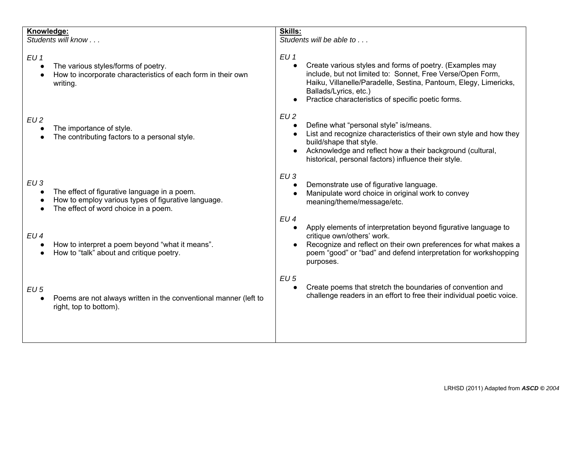| Knowledge:      | Students will know                                                                                                                          | Skills:<br>Students will be able to                                                                                                                                                                                                                                                          |
|-----------------|---------------------------------------------------------------------------------------------------------------------------------------------|----------------------------------------------------------------------------------------------------------------------------------------------------------------------------------------------------------------------------------------------------------------------------------------------|
| EU <sub>1</sub> | The various styles/forms of poetry.<br>How to incorporate characteristics of each form in their own<br>writing.                             | EU <sub>1</sub><br>Create various styles and forms of poetry. (Examples may<br>include, but not limited to: Sonnet, Free Verse/Open Form,<br>Haiku, Villanelle/Paradelle, Sestina, Pantoum, Elegy, Limericks,<br>Ballads/Lyrics, etc.)<br>Practice characteristics of specific poetic forms. |
| EU2             | The importance of style.<br>The contributing factors to a personal style.                                                                   | EU2<br>Define what "personal style" is/means.<br>List and recognize characteristics of their own style and how they<br>build/shape that style.<br>Acknowledge and reflect how a their background (cultural,<br>historical, personal factors) influence their style.                          |
| EU3             | The effect of figurative language in a poem.<br>How to employ various types of figurative language.<br>The effect of word choice in a poem. | EU3<br>Demonstrate use of figurative language.<br>Manipulate word choice in original work to convey<br>meaning/theme/message/etc.<br>EU <sub>4</sub>                                                                                                                                         |
| EU4             | How to interpret a poem beyond "what it means".<br>How to "talk" about and critique poetry.                                                 | Apply elements of interpretation beyond figurative language to<br>critique own/others' work.<br>Recognize and reflect on their own preferences for what makes a<br>poem "good" or "bad" and defend interpretation for workshopping<br>purposes.                                              |
| $EU$ 5          | Poems are not always written in the conventional manner (left to<br>right, top to bottom).                                                  | $EU$ 5<br>Create poems that stretch the boundaries of convention and<br>challenge readers in an effort to free their individual poetic voice.                                                                                                                                                |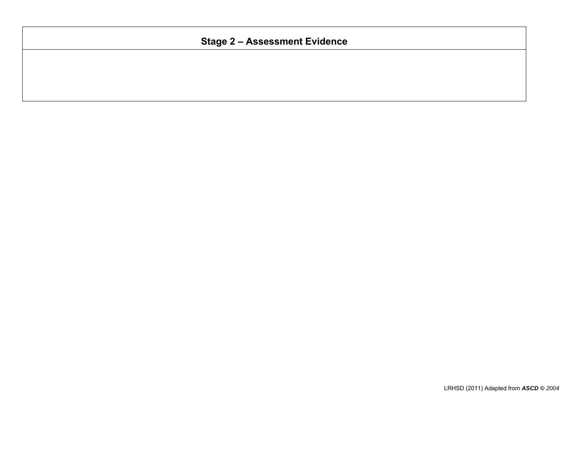## **Stage 2 – Assessment Evidence**

LRHSD (2011) Adapted from *ASCD © 2004*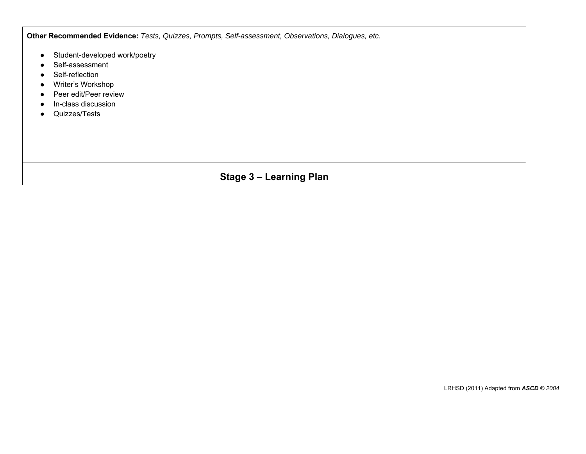**Other Recommended Evidence:** *Tests, Quizzes, Prompts, Self-assessment, Observations, Dialogues, etc.*

- Student-developed work/poetry
- Self-assessment
- Self-reflection
- Writer's Workshop
- Peer edit/Peer review
- In-class discussion
- Quizzes/Tests

## **Stage 3 – Learning Plan**

LRHSD (2011) Adapted from *ASCD © 2004*